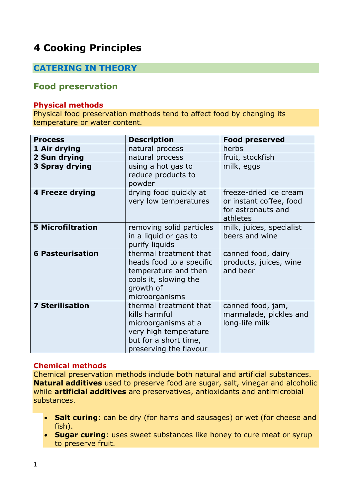# **4 Cooking Principles**

# **CATERING IN THEORY**

# **Food preservation**

#### **Physical methods**

Physical food preservation methods tend to affect food by changing its temperature or water content.

| <b>Process</b>           | <b>Description</b>                                                                                                                         | <b>Food preserved</b>                                                               |
|--------------------------|--------------------------------------------------------------------------------------------------------------------------------------------|-------------------------------------------------------------------------------------|
| 1 Air drying             | natural process                                                                                                                            | herbs                                                                               |
| 2 Sun drying             | natural process                                                                                                                            | fruit, stockfish                                                                    |
| 3 Spray drying           | using a hot gas to<br>reduce products to<br>powder                                                                                         | milk, eggs                                                                          |
| 4 Freeze drying          | drying food quickly at<br>very low temperatures                                                                                            | freeze-dried ice cream<br>or instant coffee, food<br>for astronauts and<br>athletes |
| <b>5 Microfiltration</b> | removing solid particles<br>in a liquid or gas to<br>purify liquids                                                                        | milk, juices, specialist<br>beers and wine                                          |
| <b>6 Pasteurisation</b>  | thermal treatment that<br>heads food to a specific<br>temperature and then<br>cools it, slowing the<br>growth of<br>microorganisms         | canned food, dairy<br>products, juices, wine<br>and beer                            |
| <b>7 Sterilisation</b>   | thermal treatment that<br>kills harmful<br>microorganisms at a<br>very high temperature<br>but for a short time,<br>preserving the flavour | canned food, jam,<br>marmalade, pickles and<br>long-life milk                       |

## **Chemical methods**

Chemical preservation methods include both natural and artificial substances. **Natural additives** used to preserve food are sugar, salt, vinegar and alcoholic while **artificial additives** are preservatives, antioxidants and antimicrobial substances.

- **Salt curing**: can be dry (for hams and sausages) or wet (for cheese and fish).
- **Sugar curing**: uses sweet substances like honey to cure meat or syrup to preserve fruit.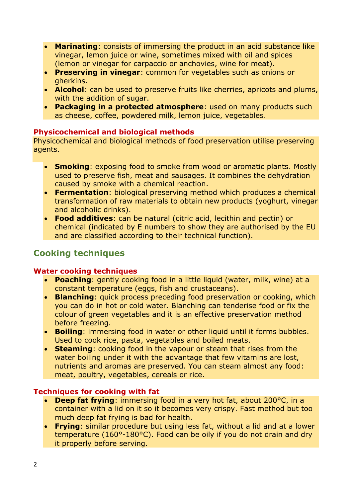- **Marinating**: consists of immersing the product in an acid substance like vinegar, lemon juice or wine, sometimes mixed with oil and spices (lemon or vinegar for carpaccio or anchovies, wine for meat).
- **Preserving in vinegar**: common for vegetables such as onions or gherkins.
- **Alcohol**: can be used to preserve fruits like cherries, apricots and plums, with the addition of sugar.
- **Packaging in a protected atmosphere**: used on many products such as cheese, coffee, powdered milk, lemon juice, vegetables.

## **Physicochemical and biological methods**

Physicochemical and biological methods of food preservation utilise preserving agents.

- **Smoking**: exposing food to smoke from wood or aromatic plants. Mostly used to preserve fish, meat and sausages. It combines the dehydration caused by smoke with a chemical reaction.
- **Fermentation**: biological preserving method which produces a chemical transformation of raw materials to obtain new products (yoghurt, vinegar and alcoholic drinks).
- **Food additives**: can be natural (citric acid, lecithin and pectin) or chemical (indicated by E numbers to show they are authorised by the EU and are classified according to their technical function).

# **Cooking techniques**

## **Water cooking techniques**

- **Poaching**: gently cooking food in a little liquid (water, milk, wine) at a constant temperature (eggs, fish and crustaceans).
- **Blanching**: quick process preceding food preservation or cooking, which you can do in hot or cold water. Blanching can tenderise food or fix the colour of green vegetables and it is an effective preservation method before freezing.
- **Boiling**: immersing food in water or other liquid until it forms bubbles. Used to cook rice, pasta, vegetables and boiled meats.
- **Steaming**: cooking food in the vapour or steam that rises from the water boiling under it with the advantage that few vitamins are lost, nutrients and aromas are preserved. You can steam almost any food: meat, poultry, vegetables, cereals or rice.

## **Techniques for cooking with fat**

- **Deep fat frying**: immersing food in a very hot fat, about 200°C, in a container with a lid on it so it becomes very crispy. Fast method but too much deep fat frying is bad for health.
- **Frying**: similar procedure but using less fat, without a lid and at a lower temperature (160°-180°C). Food can be oily if you do not drain and dry it properly before serving.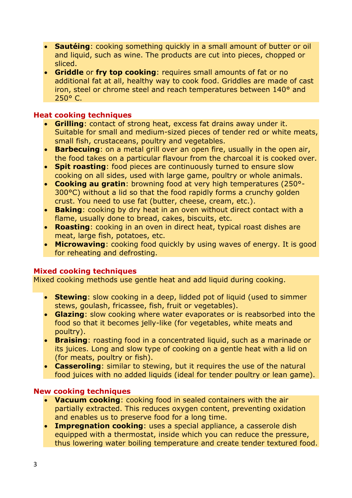- **Sautéing**: cooking something quickly in a small amount of butter or oil and liquid, such as wine. The products are cut into pieces, chopped or sliced.
- **Griddle** or **fry top cooking**: requires small amounts of fat or no additional fat at all, healthy way to cook food. Griddles are made of cast iron, steel or chrome steel and reach temperatures between 140° and 250° C.

## **Heat cooking techniques**

- **Grilling**: contact of strong heat, excess fat drains away under it. Suitable for small and medium-sized pieces of tender red or white meats, small fish, crustaceans, poultry and vegetables.
- **Barbecuing**: on a metal grill over an open fire, usually in the open air, the food takes on a particular flavour from the charcoal it is cooked over.
- **Spit roasting**: food pieces are continuously turned to ensure slow cooking on all sides, used with large game, poultry or whole animals.
- **Cooking au gratin**: browning food at very high temperatures (250°- 300°C) without a lid so that the food rapidly forms a crunchy golden crust. You need to use fat (butter, cheese, cream, etc.).
- **Baking**: cooking by dry heat in an oven without direct contact with a flame, usually done to bread, cakes, biscuits, etc.
- **Roasting**: cooking in an oven in direct heat, typical roast dishes are meat, large fish, potatoes, etc.
- **Microwaving**: cooking food quickly by using waves of energy. It is good for reheating and defrosting.

## **Mixed cooking techniques**

Mixed cooking methods use gentle heat and add liquid during cooking.

- **Stewing**: slow cooking in a deep, lidded pot of liquid (used to simmer stews, goulash, fricassee, fish, fruit or vegetables).
- **Glazing**: slow cooking where water evaporates or is reabsorbed into the food so that it becomes jelly-like (for vegetables, white meats and poultry).
- **Braising**: roasting food in a concentrated liquid, such as a marinade or its juices. Long and slow type of cooking on a gentle heat with a lid on (for meats, poultry or fish).
- **Casseroling**: similar to stewing, but it requires the use of the natural food juices with no added liquids (ideal for tender poultry or lean game).

## **New cooking techniques**

- **Vacuum cooking**: cooking food in sealed containers with the air partially extracted. This reduces oxygen content, preventing oxidation and enables us to preserve food for a long time.
- **Impregnation cooking**: uses a special appliance, a casserole dish equipped with a thermostat, inside which you can reduce the pressure, thus lowering water boiling temperature and create tender textured food.